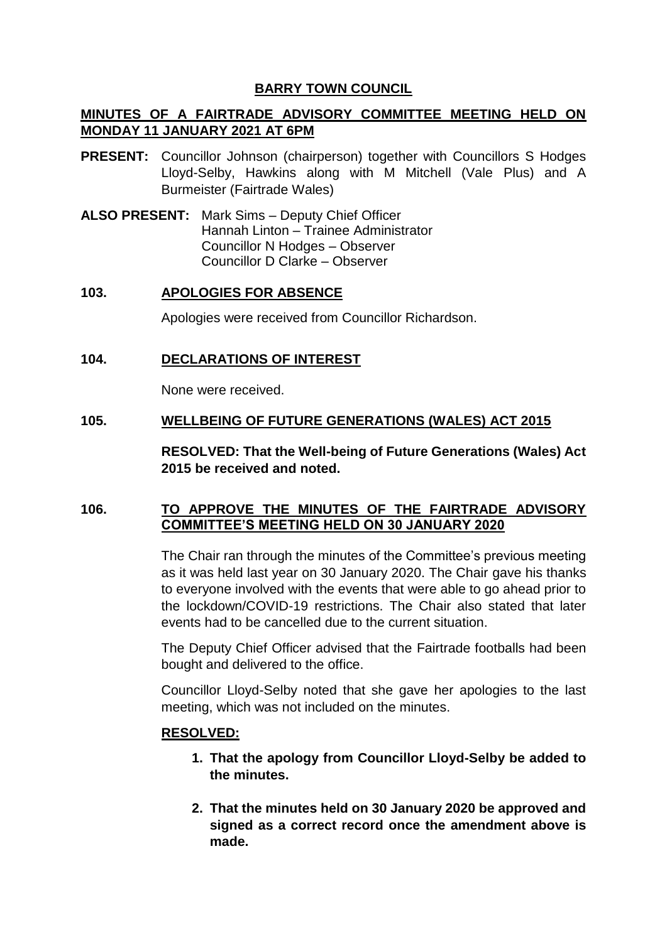# **BARRY TOWN COUNCIL**

# **MINUTES OF A FAIRTRADE ADVISORY COMMITTEE MEETING HELD ON MONDAY 11 JANUARY 2021 AT 6PM**

- **PRESENT:** Councillor Johnson (chairperson) together with Councillors S Hodges Lloyd-Selby, Hawkins along with M Mitchell (Vale Plus) and A Burmeister (Fairtrade Wales)
- **ALSO PRESENT:** Mark Sims Deputy Chief Officer Hannah Linton – Trainee Administrator Councillor N Hodges – Observer Councillor D Clarke – Observer

## **103. APOLOGIES FOR ABSENCE**

Apologies were received from Councillor Richardson.

### **104. DECLARATIONS OF INTEREST**

None were received.

### **105. WELLBEING OF FUTURE GENERATIONS (WALES) ACT 2015**

**RESOLVED: That the Well-being of Future Generations (Wales) Act 2015 be received and noted.**

### **106. TO APPROVE THE MINUTES OF THE FAIRTRADE ADVISORY COMMITTEE'S MEETING HELD ON 30 JANUARY 2020**

The Chair ran through the minutes of the Committee's previous meeting as it was held last year on 30 January 2020. The Chair gave his thanks to everyone involved with the events that were able to go ahead prior to the lockdown/COVID-19 restrictions. The Chair also stated that later events had to be cancelled due to the current situation.

The Deputy Chief Officer advised that the Fairtrade footballs had been bought and delivered to the office.

Councillor Lloyd-Selby noted that she gave her apologies to the last meeting, which was not included on the minutes.

#### **RESOLVED:**

- **1. That the apology from Councillor Lloyd-Selby be added to the minutes.**
- **2. That the minutes held on 30 January 2020 be approved and signed as a correct record once the amendment above is made.**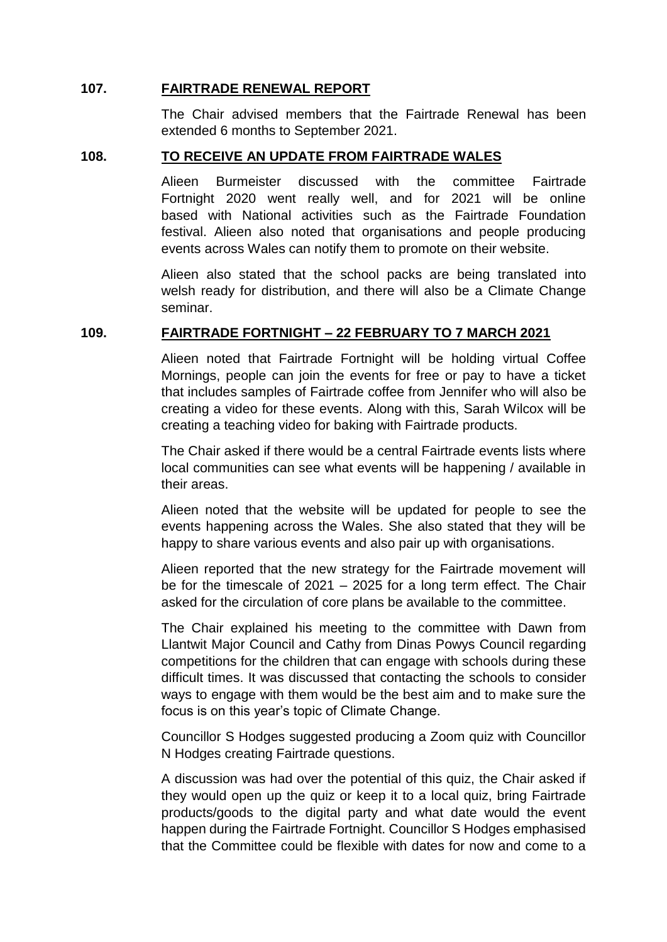# **107. FAIRTRADE RENEWAL REPORT**

The Chair advised members that the Fairtrade Renewal has been extended 6 months to September 2021.

### **108. TO RECEIVE AN UPDATE FROM FAIRTRADE WALES**

Alieen Burmeister discussed with the committee Fairtrade Fortnight 2020 went really well, and for 2021 will be online based with National activities such as the Fairtrade Foundation festival. Alieen also noted that organisations and people producing events across Wales can notify them to promote on their website.

Alieen also stated that the school packs are being translated into welsh ready for distribution, and there will also be a Climate Change seminar.

## **109. FAIRTRADE FORTNIGHT – 22 FEBRUARY TO 7 MARCH 2021**

Alieen noted that Fairtrade Fortnight will be holding virtual Coffee Mornings, people can join the events for free or pay to have a ticket that includes samples of Fairtrade coffee from Jennifer who will also be creating a video for these events. Along with this, Sarah Wilcox will be creating a teaching video for baking with Fairtrade products.

The Chair asked if there would be a central Fairtrade events lists where local communities can see what events will be happening / available in their areas.

Alieen noted that the website will be updated for people to see the events happening across the Wales. She also stated that they will be happy to share various events and also pair up with organisations.

Alieen reported that the new strategy for the Fairtrade movement will be for the timescale of 2021 – 2025 for a long term effect. The Chair asked for the circulation of core plans be available to the committee.

The Chair explained his meeting to the committee with Dawn from Llantwit Major Council and Cathy from Dinas Powys Council regarding competitions for the children that can engage with schools during these difficult times. It was discussed that contacting the schools to consider ways to engage with them would be the best aim and to make sure the focus is on this year's topic of Climate Change.

Councillor S Hodges suggested producing a Zoom quiz with Councillor N Hodges creating Fairtrade questions.

A discussion was had over the potential of this quiz, the Chair asked if they would open up the quiz or keep it to a local quiz, bring Fairtrade products/goods to the digital party and what date would the event happen during the Fairtrade Fortnight. Councillor S Hodges emphasised that the Committee could be flexible with dates for now and come to a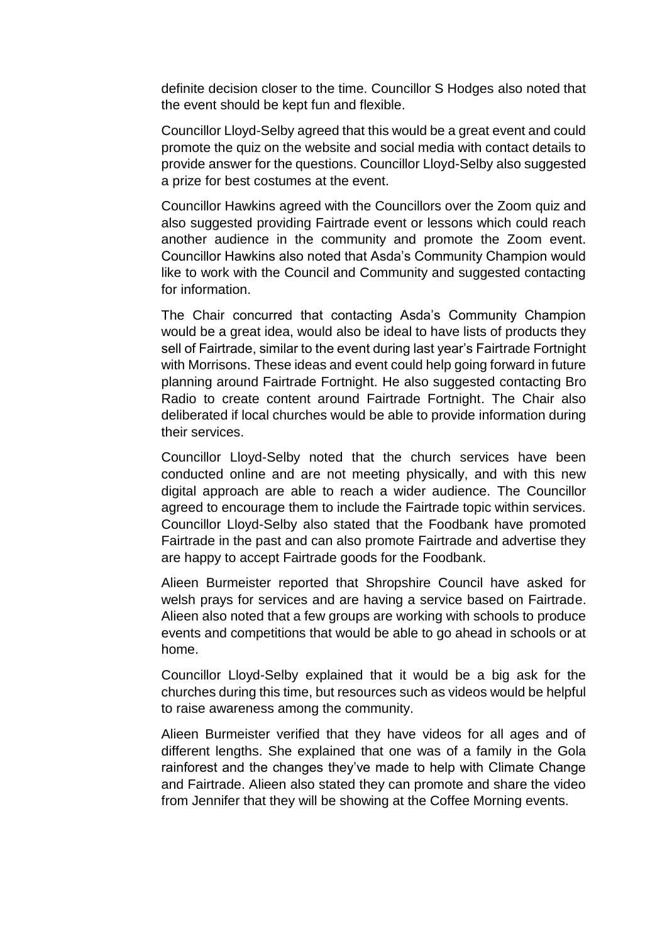definite decision closer to the time. Councillor S Hodges also noted that the event should be kept fun and flexible.

Councillor Lloyd-Selby agreed that this would be a great event and could promote the quiz on the website and social media with contact details to provide answer for the questions. Councillor Lloyd-Selby also suggested a prize for best costumes at the event.

Councillor Hawkins agreed with the Councillors over the Zoom quiz and also suggested providing Fairtrade event or lessons which could reach another audience in the community and promote the Zoom event. Councillor Hawkins also noted that Asda's Community Champion would like to work with the Council and Community and suggested contacting for information.

The Chair concurred that contacting Asda's Community Champion would be a great idea, would also be ideal to have lists of products they sell of Fairtrade, similar to the event during last year's Fairtrade Fortnight with Morrisons. These ideas and event could help going forward in future planning around Fairtrade Fortnight. He also suggested contacting Bro Radio to create content around Fairtrade Fortnight. The Chair also deliberated if local churches would be able to provide information during their services.

Councillor Lloyd-Selby noted that the church services have been conducted online and are not meeting physically, and with this new digital approach are able to reach a wider audience. The Councillor agreed to encourage them to include the Fairtrade topic within services. Councillor Lloyd-Selby also stated that the Foodbank have promoted Fairtrade in the past and can also promote Fairtrade and advertise they are happy to accept Fairtrade goods for the Foodbank.

Alieen Burmeister reported that Shropshire Council have asked for welsh prays for services and are having a service based on Fairtrade. Alieen also noted that a few groups are working with schools to produce events and competitions that would be able to go ahead in schools or at home.

Councillor Lloyd-Selby explained that it would be a big ask for the churches during this time, but resources such as videos would be helpful to raise awareness among the community.

Alieen Burmeister verified that they have videos for all ages and of different lengths. She explained that one was of a family in the Gola rainforest and the changes they've made to help with Climate Change and Fairtrade. Alieen also stated they can promote and share the video from Jennifer that they will be showing at the Coffee Morning events.